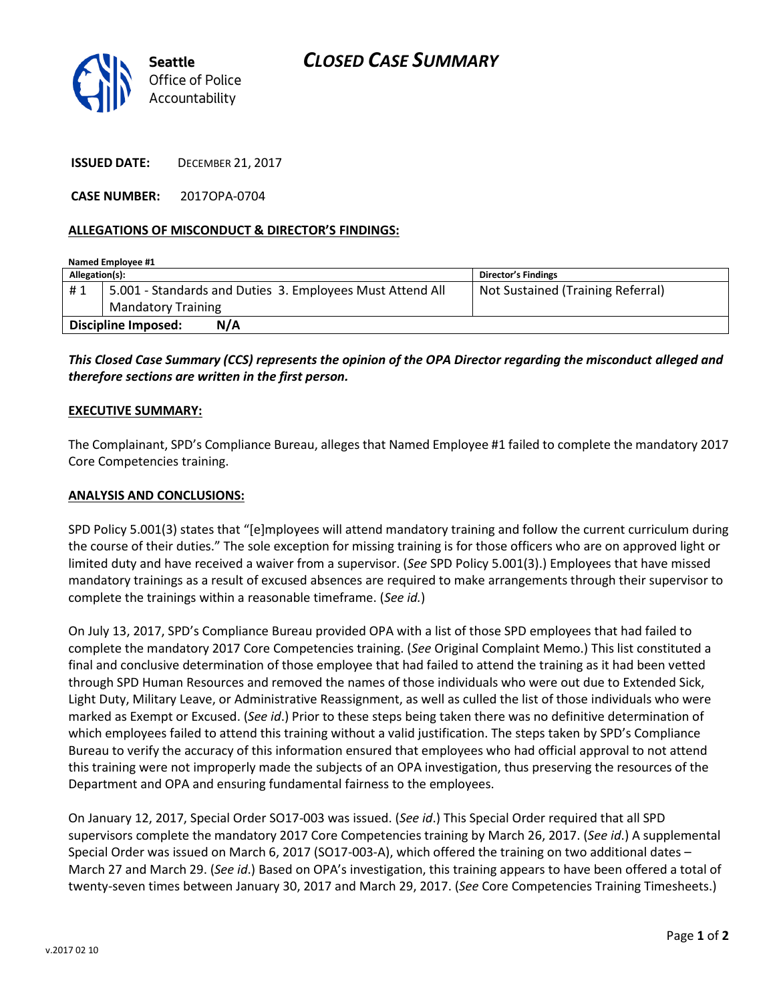

**ISSUED DATE:** DECEMBER 21, 2017

**CASE NUMBER:** 2017OPA-0704

## **ALLEGATIONS OF MISCONDUCT & DIRECTOR'S FINDINGS:**

| Named Employee #1                 |                                                           |                                   |
|-----------------------------------|-----------------------------------------------------------|-----------------------------------|
| Allegation(s):                    |                                                           | Director's Findings               |
| #1                                | 5.001 - Standards and Duties 3. Employees Must Attend All | Not Sustained (Training Referral) |
|                                   | <b>Mandatory Training</b>                                 |                                   |
| <b>Discipline Imposed:</b><br>N/A |                                                           |                                   |

*This Closed Case Summary (CCS) represents the opinion of the OPA Director regarding the misconduct alleged and therefore sections are written in the first person.* 

## **EXECUTIVE SUMMARY:**

The Complainant, SPD's Compliance Bureau, alleges that Named Employee #1 failed to complete the mandatory 2017 Core Competencies training.

## **ANALYSIS AND CONCLUSIONS:**

SPD Policy 5.001(3) states that "[e]mployees will attend mandatory training and follow the current curriculum during the course of their duties." The sole exception for missing training is for those officers who are on approved light or limited duty and have received a waiver from a supervisor. (*See* SPD Policy 5.001(3).) Employees that have missed mandatory trainings as a result of excused absences are required to make arrangements through their supervisor to complete the trainings within a reasonable timeframe. (*See id.*)

On July 13, 2017, SPD's Compliance Bureau provided OPA with a list of those SPD employees that had failed to complete the mandatory 2017 Core Competencies training. (*See* Original Complaint Memo.) This list constituted a final and conclusive determination of those employee that had failed to attend the training as it had been vetted through SPD Human Resources and removed the names of those individuals who were out due to Extended Sick, Light Duty, Military Leave, or Administrative Reassignment, as well as culled the list of those individuals who were marked as Exempt or Excused. (*See id*.) Prior to these steps being taken there was no definitive determination of which employees failed to attend this training without a valid justification. The steps taken by SPD's Compliance Bureau to verify the accuracy of this information ensured that employees who had official approval to not attend this training were not improperly made the subjects of an OPA investigation, thus preserving the resources of the Department and OPA and ensuring fundamental fairness to the employees.

On January 12, 2017, Special Order SO17-003 was issued. (*See id*.) This Special Order required that all SPD supervisors complete the mandatory 2017 Core Competencies training by March 26, 2017. (*See id*.) A supplemental Special Order was issued on March 6, 2017 (SO17-003-A), which offered the training on two additional dates – March 27 and March 29. (*See id*.) Based on OPA's investigation, this training appears to have been offered a total of twenty-seven times between January 30, 2017 and March 29, 2017. (*See* Core Competencies Training Timesheets.)